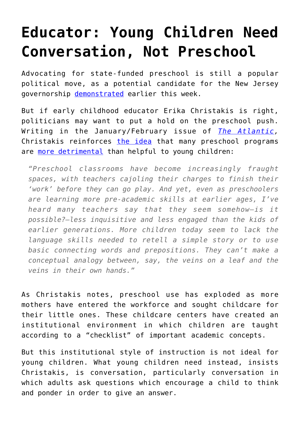## **[Educator: Young Children Need](https://intellectualtakeout.org/2015/12/educator-young-children-need-conversation-not-preschool/) [Conversation, Not Preschool](https://intellectualtakeout.org/2015/12/educator-young-children-need-conversation-not-preschool/)**

Advocating for state-funded preschool is still a popular political move, as a potential candidate for the New Jersey governorship [demonstrated](http://www.njspotlight.com/stories/15/12/14/sweeney-calls-for-state-to-invest-165m-in-pre-k-early-childhood-programs/) earlier this week.

But if early childhood educator Erika Christakis is right, politicians may want to put a hold on the preschool push. Writing in the January/February issue of *[The Atlantic,](http://www.theatlantic.com/magazine/archive/2016/01/the-new-preschool-is-crushing-kids/419139/)* Christakis reinforces [the idea](https://www.intellectualtakeout.org/blog/new-study-universal-preschool-may-hurt-children-not-help) that many preschool programs are [more detrimental](https://www.intellectualtakeout.org/blog/aaaand-another-study-says-preschool-hurts-not-helps) than helpful to young children:

*"Preschool classrooms have become increasingly fraught spaces, with teachers cajoling their charges to finish their 'work' before they can go play. And yet, even as preschoolers are learning more pre-academic skills at earlier ages, I've heard many teachers say that they seem somehow—is it possible?—less inquisitive and less engaged than the kids of earlier generations. More children today seem to lack the language skills needed to retell a simple story or to use basic connecting words and prepositions. They can't make a conceptual analogy between, say, the veins on a leaf and the veins in their own hands."*

As Christakis notes, preschool use has exploded as more mothers have entered the workforce and sought childcare for their little ones. These childcare centers have created an institutional environment in which children are taught according to a "checklist" of important academic concepts.

But this institutional style of instruction is not ideal for young children. What young children need instead, insists Christakis, is conversation, particularly conversation in which adults ask questions which encourage a child to think and ponder in order to give an answer.